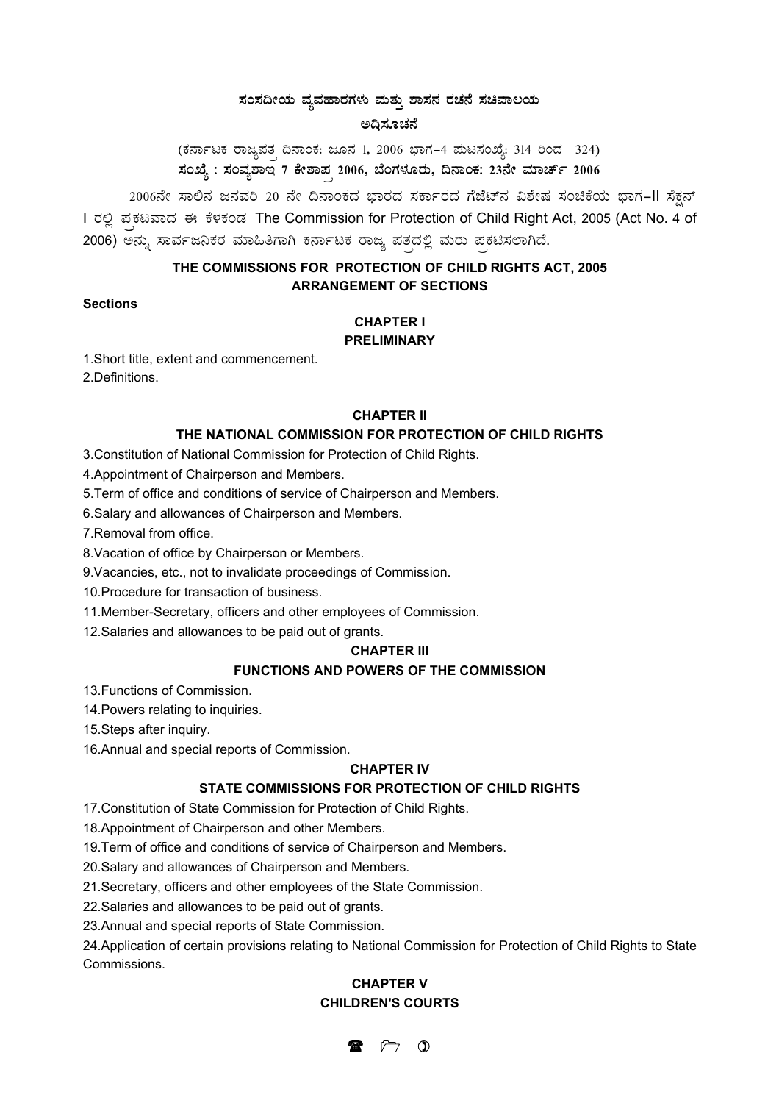## $*$ ನಂಸದೀಯ ವ್ಯವಹಾರಗಳು ಮತ್ತು ಶಾಸನ ರಚನೆ ಸಚಿವಾಲಯ

### **C¢s¸ÀÆZÀ£É**

(ಕರ್ನಾಟಕ ರಾಜ್ಯಪತ<sub>,</sub> ದಿನಾಂಕ: ಜೂನ 1, 2006 ಭಾಗ–4 ಮಟಸಂಖ್ಯೆ: 314 ರಿಂದ 324) ಸಂಖ್ಯೆ : ಸಂವ್ಯಶಾ**ಇ 7 ಕೇಶಾಪ<sub>,</sub> 2006, ಬೆಂಗಳೂರು, ದಿನಾಂಕ: 2**3ನೇ ಮಾರ್ಚ್ 2006

2006ನೇ ಸಾಲಿನ ಜನವರಿ 20 ನೇ ದಿನಾಂಕದ ಭಾರದ ಸರ್ಕಾರದ ಗೆಜೆಟ್**ನ ವಿಶೇಷ ಸಂಚಿಕೆಯ ಭಾಗ**–II ಸೆಕ್ಷನ್ I ರಲ್ಲಿ ಪಕಟವಾದ ಈ ಕೆಳಕಂಡ The Commission for Protection of Child Right Act, 2005 (Act No. 4 of 2006) ಅನ್ನು ಸಾರ್ವಜನಿಕರ ಮಾಹಿತಿಗಾಗಿ ಕರ್ನಾಟಕ ರಾಜ್ಯ ಪತ್ತದಲ್ಲಿ ಮರು ಪ್ರಕಟಿಸಲಾಗಿದೆ.

## **THE COMMISSIONS FOR PROTECTION OF CHILD RIGHTS ACT, 2005 ARRANGEMENT OF SECTIONS**

#### **Sections**

# **CHAPTER I**

## **PRELIMINARY**

1.Short title, extent and commencement.

2.Definitions.

#### **CHAPTER II**

#### **THE NATIONAL COMMISSION FOR PROTECTION OF CHILD RIGHTS**

3.Constitution of National Commission for Protection of Child Rights.

4.Appointment of Chairperson and Members.

5.Term of office and conditions of service of Chairperson and Members.

6.Salary and allowances of Chairperson and Members.

7.Removal from office.

8.Vacation of office by Chairperson or Members.

9.Vacancies, etc., not to invalidate proceedings of Commission.

10.Procedure for transaction of business.

11.Member-Secretary, officers and other employees of Commission.

12.Salaries and allowances to be paid out of grants.

#### **CHAPTER III**

### **FUNCTIONS AND POWERS OF THE COMMISSION**

13.Functions of Commission.

14.Powers relating to inquiries.

15.Steps after inquiry.

16.Annual and special reports of Commission.

#### **CHAPTER IV**

## **STATE COMMISSIONS FOR PROTECTION OF CHILD RIGHTS**

17.Constitution of State Commission for Protection of Child Rights.

18.Appointment of Chairperson and other Members.

19.Term of office and conditions of service of Chairperson and Members.

20.Salary and allowances of Chairperson and Members.

21.Secretary, officers and other employees of the State Commission.

22.Salaries and allowances to be paid out of grants.

23.Annual and special reports of State Commission.

24.Application of certain provisions relating to National Commission for Protection of Child Rights to State Commissions.

# **CHAPTER V CHILDREN'S COURTS**

 $\triangleright$  0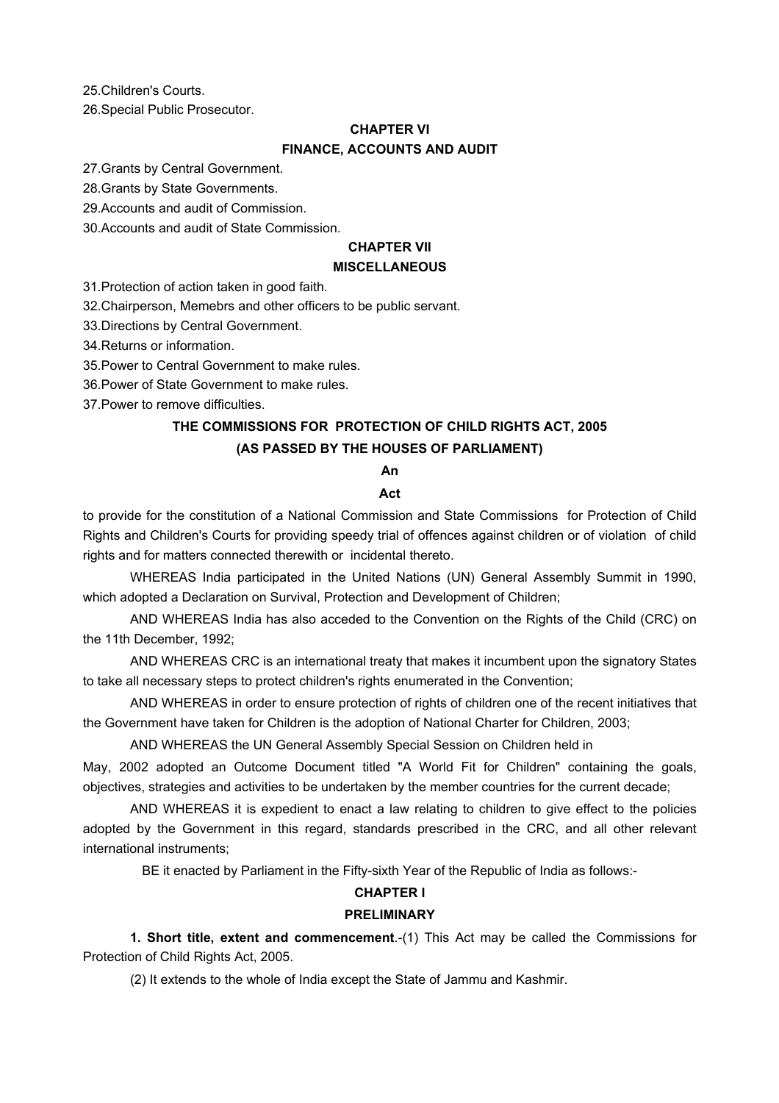25.Children's Courts.

26.Special Public Prosecutor.

### **CHAPTER VI**

### **FINANCE, ACCOUNTS AND AUDIT**

27.Grants by Central Government.

28.Grants by State Governments.

29.Accounts and audit of Commission.

30.Accounts and audit of State Commission.

# **CHAPTER VII**

## **MISCELLANEOUS**

31.Protection of action taken in good faith.

32.Chairperson, Memebrs and other officers to be public servant.

33.Directions by Central Government.

34.Returns or information.

35.Power to Central Government to make rules.

36.Power of State Government to make rules.

37.Power to remove difficulties.

# **THE COMMISSIONS FOR PROTECTION OF CHILD RIGHTS ACT, 2005 (AS PASSED BY THE HOUSES OF PARLIAMENT)**

#### **An**

#### **Act**

to provide for the constitution of a National Commission and State Commissions for Protection of Child Rights and Children's Courts for providing speedy trial of offences against children or of violation of child rights and for matters connected therewith or incidental thereto.

WHEREAS India participated in the United Nations (UN) General Assembly Summit in 1990, which adopted a Declaration on Survival, Protection and Development of Children;

AND WHEREAS India has also acceded to the Convention on the Rights of the Child (CRC) on the 11th December, 1992;

AND WHEREAS CRC is an international treaty that makes it incumbent upon the signatory States to take all necessary steps to protect children's rights enumerated in the Convention;

AND WHEREAS in order to ensure protection of rights of children one of the recent initiatives that the Government have taken for Children is the adoption of National Charter for Children, 2003;

AND WHEREAS the UN General Assembly Special Session on Children held in

May, 2002 adopted an Outcome Document titled "A World Fit for Children" containing the goals, objectives, strategies and activities to be undertaken by the member countries for the current decade;

AND WHEREAS it is expedient to enact a law relating to children to give effect to the policies adopted by the Government in this regard, standards prescribed in the CRC, and all other relevant international instruments;

BE it enacted by Parliament in the Fifty-sixth Year of the Republic of India as follows:-

### **CHAPTER I**

#### **PRELIMINARY**

**1. Short title, extent and commencement**.-(1) This Act may be called the Commissions for Protection of Child Rights Act, 2005.

(2) It extends to the whole of India except the State of Jammu and Kashmir.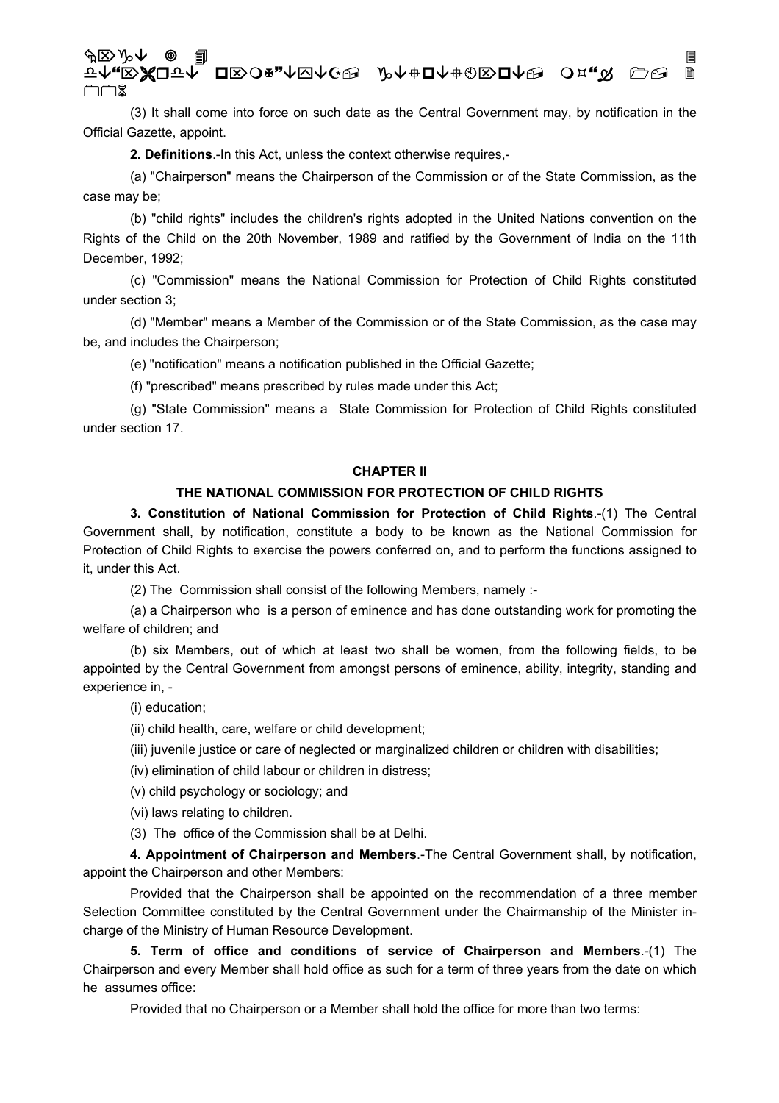## «⌦NÈ F↑<sub>"</sub>RЖQT↑ Q¤∑O¤"↑Ø∧C⊕ ♪↑↑#Q↑#©®Q↑® O¤."☆ C⊕ !  $\square \square$  2

(3) It shall come into force on such date as the Central Government may, by notification in the Official Gazette, appoint.

**2. Definitions**.-In this Act, unless the context otherwise requires,-

(a) "Chairperson" means the Chairperson of the Commission or of the State Commission, as the case may be;

(b) "child rights" includes the children's rights adopted in the United Nations convention on the Rights of the Child on the 20th November, 1989 and ratified by the Government of India on the 11th December, 1992;

(c) "Commission" means the National Commission for Protection of Child Rights constituted under section 3;

(d) "Member" means a Member of the Commission or of the State Commission, as the case may be, and includes the Chairperson;

(e) "notification" means a notification published in the Official Gazette;

(f) "prescribed" means prescribed by rules made under this Act;

(g) "State Commission" means a State Commission for Protection of Child Rights constituted under section 17.

## **CHAPTER II**

#### **THE NATIONAL COMMISSION FOR PROTECTION OF CHILD RIGHTS**

**3. Constitution of National Commission for Protection of Child Rights**.-(1) The Central Government shall, by notification, constitute a body to be known as the National Commission for Protection of Child Rights to exercise the powers conferred on, and to perform the functions assigned to it, under this Act.

(2) The Commission shall consist of the following Members, namely :-

(a) a Chairperson who is a person of eminence and has done outstanding work for promoting the welfare of children; and

(b) six Members, out of which at least two shall be women, from the following fields, to be appointed by the Central Government from amongst persons of eminence, ability, integrity, standing and experience in, -

(i) education;

(ii) child health, care, welfare or child development;

(iii) juvenile justice or care of neglected or marginalized children or children with disabilities;

(iv) elimination of child labour or children in distress;

(v) child psychology or sociology; and

(vi) laws relating to children.

(3) The office of the Commission shall be at Delhi.

**4. Appointment of Chairperson and Members**.-The Central Government shall, by notification, appoint the Chairperson and other Members:

Provided that the Chairperson shall be appointed on the recommendation of a three member Selection Committee constituted by the Central Government under the Chairmanship of the Minister incharge of the Ministry of Human Resource Development.

**5. Term of office and conditions of service of Chairperson and Members**.-(1) The Chairperson and every Member shall hold office as such for a term of three years from the date on which he assumes office:

Provided that no Chairperson or a Member shall hold the office for more than two terms: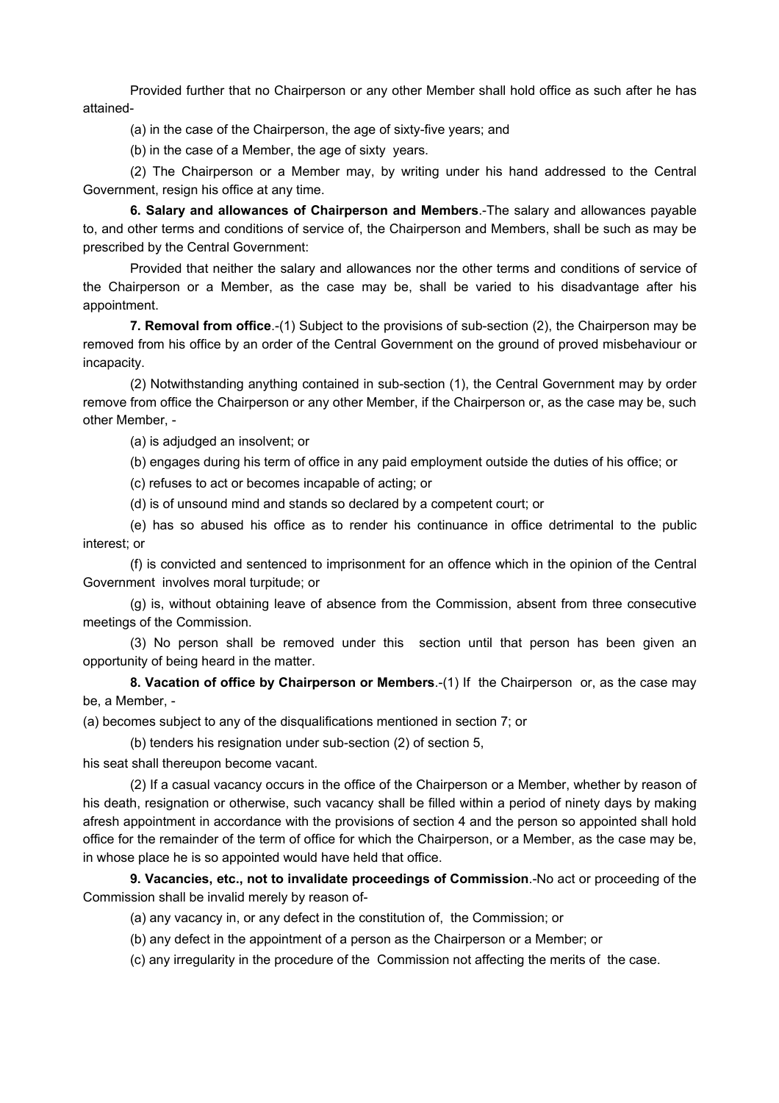Provided further that no Chairperson or any other Member shall hold office as such after he has attained-

(a) in the case of the Chairperson, the age of sixty-five years; and

(b) in the case of a Member, the age of sixty years.

(2) The Chairperson or a Member may, by writing under his hand addressed to the Central Government, resign his office at any time.

**6. Salary and allowances of Chairperson and Members**.-The salary and allowances payable to, and other terms and conditions of service of, the Chairperson and Members, shall be such as may be prescribed by the Central Government:

Provided that neither the salary and allowances nor the other terms and conditions of service of the Chairperson or a Member, as the case may be, shall be varied to his disadvantage after his appointment.

**7. Removal from office**.-(1) Subject to the provisions of sub-section (2), the Chairperson may be removed from his office by an order of the Central Government on the ground of proved misbehaviour or incapacity.

(2) Notwithstanding anything contained in sub-section (1), the Central Government may by order remove from office the Chairperson or any other Member, if the Chairperson or, as the case may be, such other Member, -

(a) is adjudged an insolvent; or

(b) engages during his term of office in any paid employment outside the duties of his office; or

(c) refuses to act or becomes incapable of acting; or

(d) is of unsound mind and stands so declared by a competent court; or

(e) has so abused his office as to render his continuance in office detrimental to the public interest; or

(f) is convicted and sentenced to imprisonment for an offence which in the opinion of the Central Government involves moral turpitude; or

(g) is, without obtaining leave of absence from the Commission, absent from three consecutive meetings of the Commission.

(3) No person shall be removed under this section until that person has been given an opportunity of being heard in the matter.

**8. Vacation of office by Chairperson or Members**.-(1) If the Chairperson or, as the case may be, a Member, -

(a) becomes subject to any of the disqualifications mentioned in section 7; or

(b) tenders his resignation under sub-section (2) of section 5,

his seat shall thereupon become vacant.

(2) If a casual vacancy occurs in the office of the Chairperson or a Member, whether by reason of his death, resignation or otherwise, such vacancy shall be filled within a period of ninety days by making afresh appointment in accordance with the provisions of section 4 and the person so appointed shall hold office for the remainder of the term of office for which the Chairperson, or a Member, as the case may be, in whose place he is so appointed would have held that office.

**9. Vacancies, etc., not to invalidate proceedings of Commission**.-No act or proceeding of the Commission shall be invalid merely by reason of-

(a) any vacancy in, or any defect in the constitution of, the Commission; or

(b) any defect in the appointment of a person as the Chairperson or a Member; or

(c) any irregularity in the procedure of the Commission not affecting the merits of the case.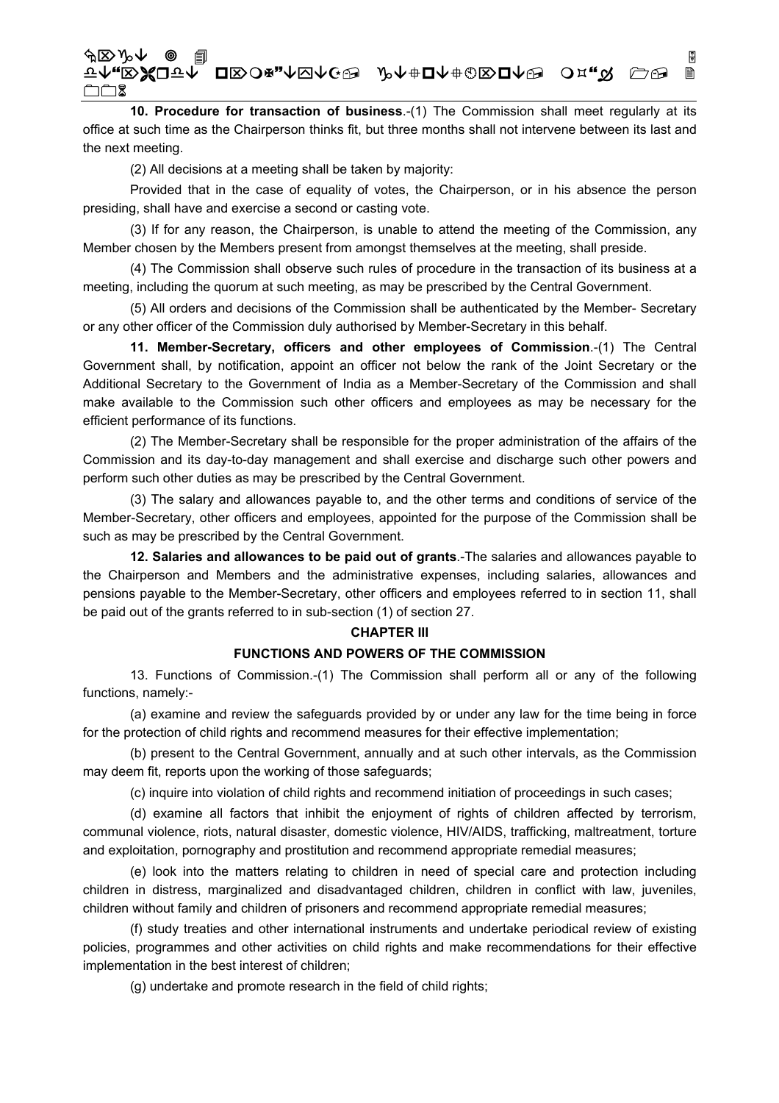## «⌦NÈ F↑<sub>"</sub>RЖQT↑ Q¤∑O¤"↑Ø∧C⊕ ♪↑↑#Q↑#©®Q↑® O¤."☆ C⊕ !  $\square \square$  2

**10. Procedure for transaction of business**.-(1) The Commission shall meet regularly at its office at such time as the Chairperson thinks fit, but three months shall not intervene between its last and the next meeting.

(2) All decisions at a meeting shall be taken by majority:

Provided that in the case of equality of votes, the Chairperson, or in his absence the person presiding, shall have and exercise a second or casting vote.

(3) If for any reason, the Chairperson, is unable to attend the meeting of the Commission, any Member chosen by the Members present from amongst themselves at the meeting, shall preside.

(4) The Commission shall observe such rules of procedure in the transaction of its business at a meeting, including the quorum at such meeting, as may be prescribed by the Central Government.

(5) All orders and decisions of the Commission shall be authenticated by the Member- Secretary or any other officer of the Commission duly authorised by Member-Secretary in this behalf.

**11. Member-Secretary, officers and other employees of Commission**.-(1) The Central Government shall, by notification, appoint an officer not below the rank of the Joint Secretary or the Additional Secretary to the Government of India as a Member-Secretary of the Commission and shall make available to the Commission such other officers and employees as may be necessary for the efficient performance of its functions.

(2) The Member-Secretary shall be responsible for the proper administration of the affairs of the Commission and its day-to-day management and shall exercise and discharge such other powers and perform such other duties as may be prescribed by the Central Government.

(3) The salary and allowances payable to, and the other terms and conditions of service of the Member-Secretary, other officers and employees, appointed for the purpose of the Commission shall be such as may be prescribed by the Central Government.

**12. Salaries and allowances to be paid out of grants**.-The salaries and allowances payable to the Chairperson and Members and the administrative expenses, including salaries, allowances and pensions payable to the Member-Secretary, other officers and employees referred to in section 11, shall be paid out of the grants referred to in sub-section (1) of section 27.

#### **CHAPTER III**

### **FUNCTIONS AND POWERS OF THE COMMISSION**

13. Functions of Commission.-(1) The Commission shall perform all or any of the following functions, namely:-

(a) examine and review the safeguards provided by or under any law for the time being in force for the protection of child rights and recommend measures for their effective implementation;

(b) present to the Central Government, annually and at such other intervals, as the Commission may deem fit, reports upon the working of those safeguards;

(c) inquire into violation of child rights and recommend initiation of proceedings in such cases;

(d) examine all factors that inhibit the enjoyment of rights of children affected by terrorism, communal violence, riots, natural disaster, domestic violence, HIV/AIDS, trafficking, maltreatment, torture and exploitation, pornography and prostitution and recommend appropriate remedial measures;

(e) look into the matters relating to children in need of special care and protection including children in distress, marginalized and disadvantaged children, children in conflict with law, juveniles, children without family and children of prisoners and recommend appropriate remedial measures;

(f) study treaties and other international instruments and undertake periodical review of existing policies, programmes and other activities on child rights and make recommendations for their effective implementation in the best interest of children;

(g) undertake and promote research in the field of child rights;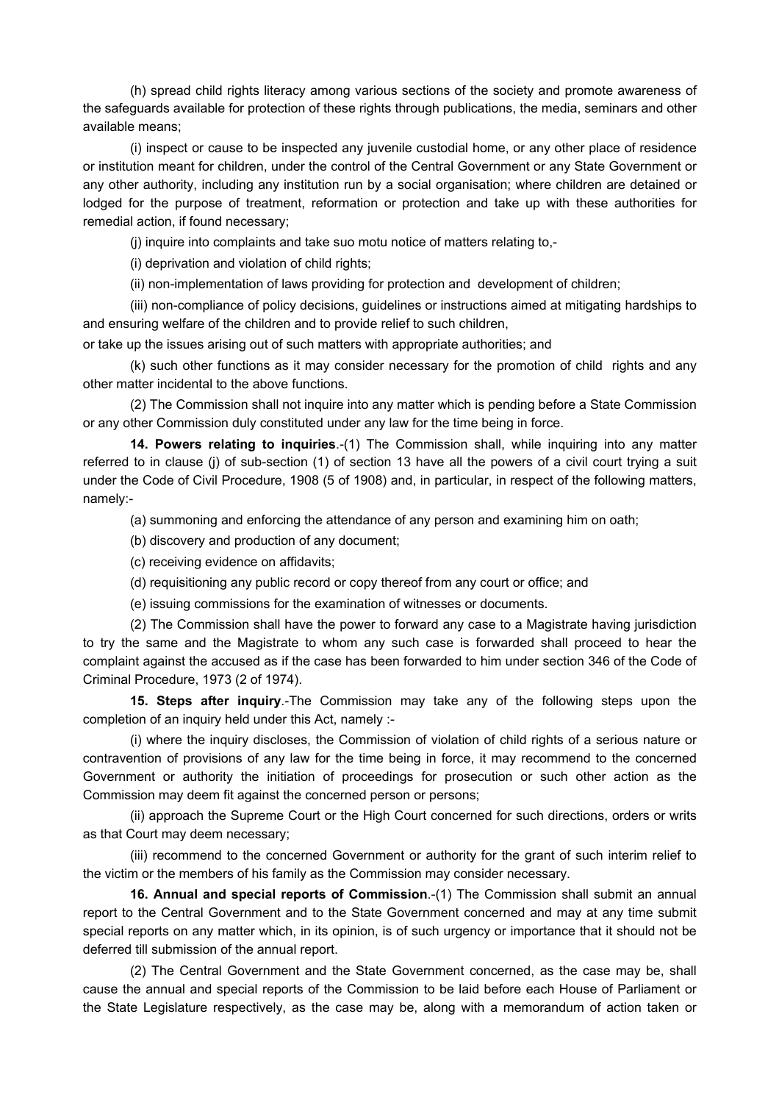(h) spread child rights literacy among various sections of the society and promote awareness of the safeguards available for protection of these rights through publications, the media, seminars and other available means;

(i) inspect or cause to be inspected any juvenile custodial home, or any other place of residence or institution meant for children, under the control of the Central Government or any State Government or any other authority, including any institution run by a social organisation; where children are detained or lodged for the purpose of treatment, reformation or protection and take up with these authorities for remedial action, if found necessary;

(j) inquire into complaints and take suo motu notice of matters relating to,-

(i) deprivation and violation of child rights;

(ii) non-implementation of laws providing for protection and development of children;

(iii) non-compliance of policy decisions, guidelines or instructions aimed at mitigating hardships to and ensuring welfare of the children and to provide relief to such children,

or take up the issues arising out of such matters with appropriate authorities; and

(k) such other functions as it may consider necessary for the promotion of child rights and any other matter incidental to the above functions.

(2) The Commission shall not inquire into any matter which is pending before a State Commission or any other Commission duly constituted under any law for the time being in force.

**14. Powers relating to inquiries**.-(1) The Commission shall, while inquiring into any matter referred to in clause (j) of sub-section (1) of section 13 have all the powers of a civil court trying a suit under the Code of Civil Procedure, 1908 (5 of 1908) and, in particular, in respect of the following matters, namely:-

(a) summoning and enforcing the attendance of any person and examining him on oath;

(b) discovery and production of any document;

(c) receiving evidence on affidavits;

- (d) requisitioning any public record or copy thereof from any court or office; and
- (e) issuing commissions for the examination of witnesses or documents.

(2) The Commission shall have the power to forward any case to a Magistrate having jurisdiction to try the same and the Magistrate to whom any such case is forwarded shall proceed to hear the complaint against the accused as if the case has been forwarded to him under section 346 of the Code of Criminal Procedure, 1973 (2 of 1974).

**15. Steps after inquiry**.-The Commission may take any of the following steps upon the completion of an inquiry held under this Act, namely :-

(i) where the inquiry discloses, the Commission of violation of child rights of a serious nature or contravention of provisions of any law for the time being in force, it may recommend to the concerned Government or authority the initiation of proceedings for prosecution or such other action as the Commission may deem fit against the concerned person or persons;

(ii) approach the Supreme Court or the High Court concerned for such directions, orders or writs as that Court may deem necessary;

(iii) recommend to the concerned Government or authority for the grant of such interim relief to the victim or the members of his family as the Commission may consider necessary.

**16. Annual and special reports of Commission**.-(1) The Commission shall submit an annual report to the Central Government and to the State Government concerned and may at any time submit special reports on any matter which, in its opinion, is of such urgency or importance that it should not be deferred till submission of the annual report.

(2) The Central Government and the State Government concerned, as the case may be, shall cause the annual and special reports of the Commission to be laid before each House of Parliament or the State Legislature respectively, as the case may be, along with a memorandum of action taken or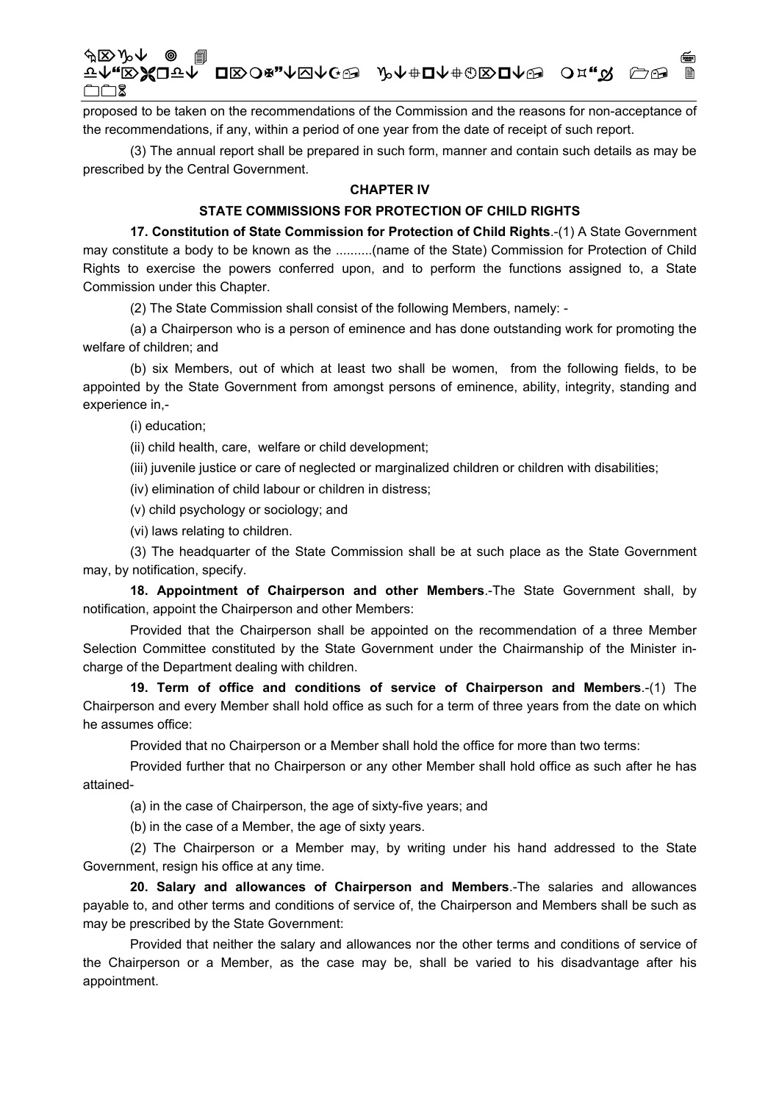# «⌦NÈ F↑<sub>"</sub>RЖQT↑ Q¤∑O¤"↑Ø∧C⊕ ♪↑↑#Q↑#©®Q↑® O¤."☆ C⊕ !  $\square \square$  2

proposed to be taken on the recommendations of the Commission and the reasons for non-acceptance of the recommendations, if any, within a period of one year from the date of receipt of such report.

(3) The annual report shall be prepared in such form, manner and contain such details as may be prescribed by the Central Government.

#### **CHAPTER IV**

## **STATE COMMISSIONS FOR PROTECTION OF CHILD RIGHTS**

**17. Constitution of State Commission for Protection of Child Rights**.-(1) A State Government may constitute a body to be known as the ..........(name of the State) Commission for Protection of Child Rights to exercise the powers conferred upon, and to perform the functions assigned to, a State Commission under this Chapter.

(2) The State Commission shall consist of the following Members, namely: -

(a) a Chairperson who is a person of eminence and has done outstanding work for promoting the welfare of children; and

(b) six Members, out of which at least two shall be women, from the following fields, to be appointed by the State Government from amongst persons of eminence, ability, integrity, standing and experience in,-

(i) education;

(ii) child health, care, welfare or child development;

(iii) juvenile justice or care of neglected or marginalized children or children with disabilities;

(iv) elimination of child labour or children in distress;

(v) child psychology or sociology; and

(vi) laws relating to children.

(3) The headquarter of the State Commission shall be at such place as the State Government may, by notification, specify.

**18. Appointment of Chairperson and other Members**.-The State Government shall, by notification, appoint the Chairperson and other Members:

Provided that the Chairperson shall be appointed on the recommendation of a three Member Selection Committee constituted by the State Government under the Chairmanship of the Minister incharge of the Department dealing with children.

**19. Term of office and conditions of service of Chairperson and Members**.-(1) The Chairperson and every Member shall hold office as such for a term of three years from the date on which he assumes office:

Provided that no Chairperson or a Member shall hold the office for more than two terms:

Provided further that no Chairperson or any other Member shall hold office as such after he has attained-

(a) in the case of Chairperson, the age of sixty-five years; and

(b) in the case of a Member, the age of sixty years.

(2) The Chairperson or a Member may, by writing under his hand addressed to the State Government, resign his office at any time.

**20. Salary and allowances of Chairperson and Members**.-The salaries and allowances payable to, and other terms and conditions of service of, the Chairperson and Members shall be such as may be prescribed by the State Government:

Provided that neither the salary and allowances nor the other terms and conditions of service of the Chairperson or a Member, as the case may be, shall be varied to his disadvantage after his appointment.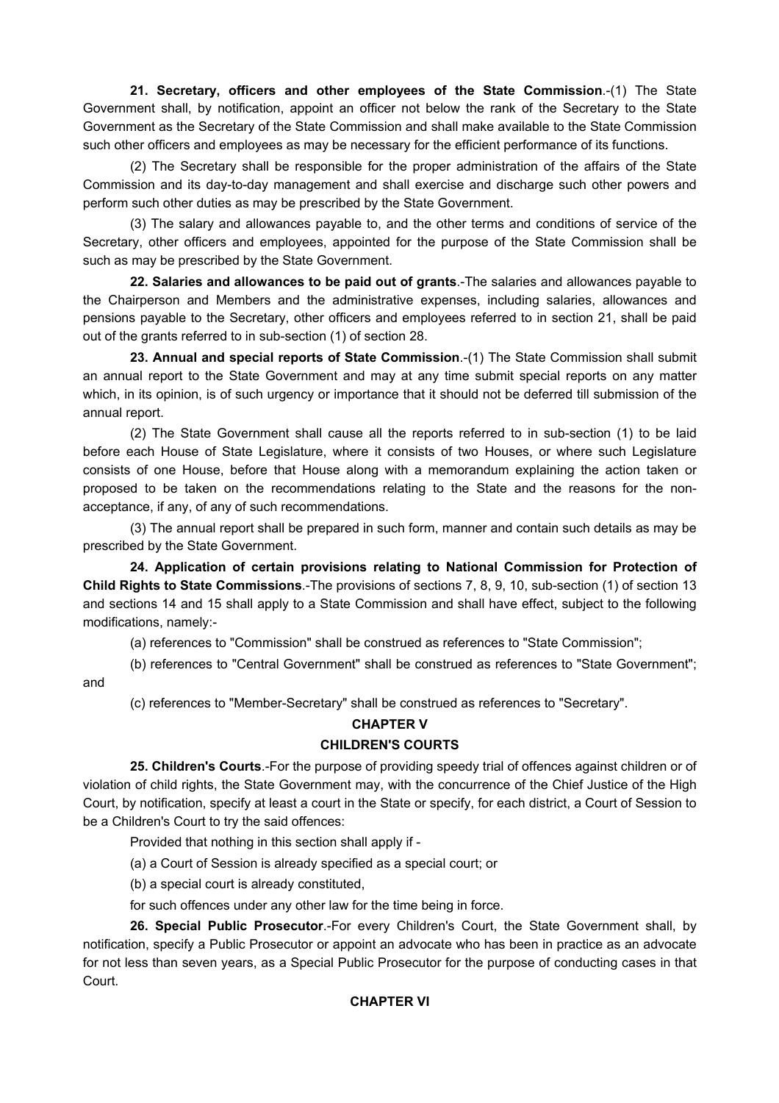**21. Secretary, officers and other employees of the State Commission**.-(1) The State Government shall, by notification, appoint an officer not below the rank of the Secretary to the State Government as the Secretary of the State Commission and shall make available to the State Commission such other officers and employees as may be necessary for the efficient performance of its functions.

(2) The Secretary shall be responsible for the proper administration of the affairs of the State Commission and its day-to-day management and shall exercise and discharge such other powers and perform such other duties as may be prescribed by the State Government.

(3) The salary and allowances payable to, and the other terms and conditions of service of the Secretary, other officers and employees, appointed for the purpose of the State Commission shall be such as may be prescribed by the State Government.

**22. Salaries and allowances to be paid out of grants**.-The salaries and allowances payable to the Chairperson and Members and the administrative expenses, including salaries, allowances and pensions payable to the Secretary, other officers and employees referred to in section 21, shall be paid out of the grants referred to in sub-section (1) of section 28.

**23. Annual and special reports of State Commission**.-(1) The State Commission shall submit an annual report to the State Government and may at any time submit special reports on any matter which, in its opinion, is of such urgency or importance that it should not be deferred till submission of the annual report.

(2) The State Government shall cause all the reports referred to in sub-section (1) to be laid before each House of State Legislature, where it consists of two Houses, or where such Legislature consists of one House, before that House along with a memorandum explaining the action taken or proposed to be taken on the recommendations relating to the State and the reasons for the nonacceptance, if any, of any of such recommendations.

(3) The annual report shall be prepared in such form, manner and contain such details as may be prescribed by the State Government.

**24. Application of certain provisions relating to National Commission for Protection of Child Rights to State Commissions**.-The provisions of sections 7, 8, 9, 10, sub-section (1) of section 13 and sections 14 and 15 shall apply to a State Commission and shall have effect, subject to the following modifications, namely:-

(a) references to "Commission" shall be construed as references to "State Commission";

(b) references to "Central Government" shall be construed as references to "State Government"; and

(c) references to "Member-Secretary" shall be construed as references to "Secretary".

## **CHAPTER V**

## **CHILDREN'S COURTS**

**25. Children's Courts**.-For the purpose of providing speedy trial of offences against children or of violation of child rights, the State Government may, with the concurrence of the Chief Justice of the High Court, by notification, specify at least a court in the State or specify, for each district, a Court of Session to be a Children's Court to try the said offences:

Provided that nothing in this section shall apply if -

(a) a Court of Session is already specified as a special court; or

(b) a special court is already constituted,

for such offences under any other law for the time being in force.

**26. Special Public Prosecutor**.-For every Children's Court, the State Government shall, by notification, specify a Public Prosecutor or appoint an advocate who has been in practice as an advocate for not less than seven years, as a Special Public Prosecutor for the purpose of conducting cases in that Court.

## **CHAPTER VI**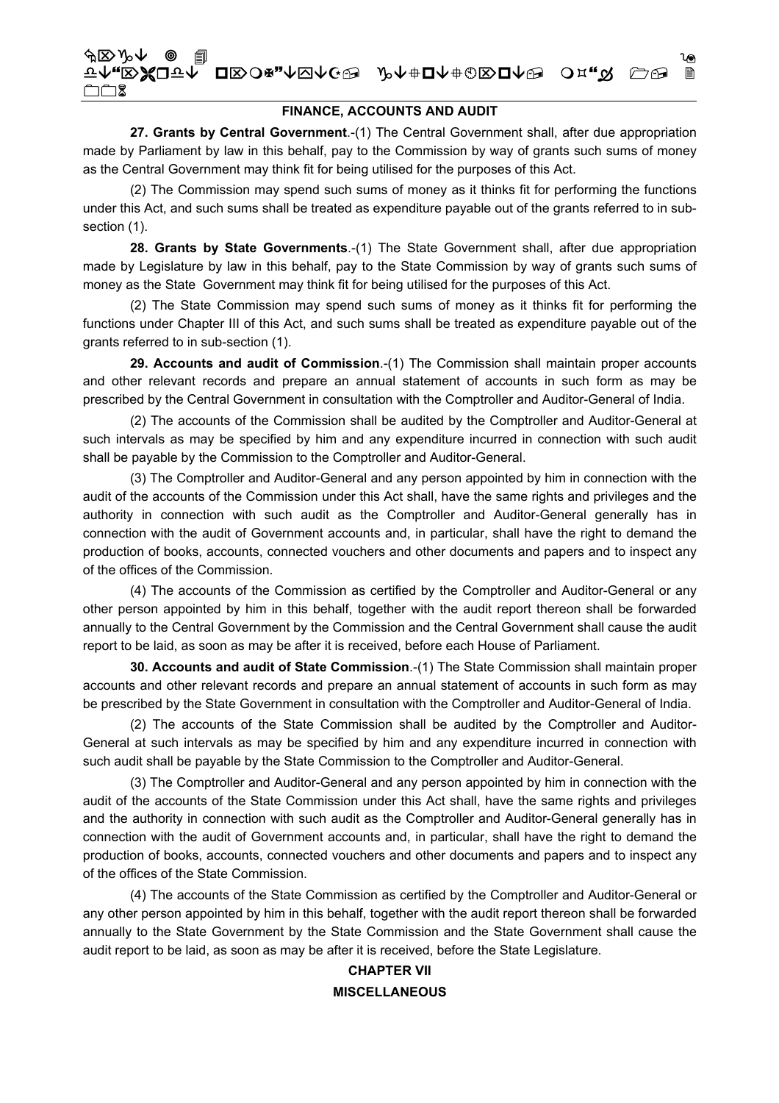## **FINANCE, ACCOUNTS AND AUDIT**

27. Grants by Central Government.-(1) The Central Government shall, after due appropriation made by Parliament by law in this behalf, pay to the Commission by way of grants such sums of money as the Central Government may think fit for being utilised for the purposes of this Act.

(2) The Commission may spend such sums of money as it thinks fit for performing the functions under this Act, and such sums shall be treated as expenditure payable out of the grants referred to in subsection (1).

28. Grants by State Governments.-(1) The State Government shall, after due appropriation made by Legislature by law in this behalf, pay to the State Commission by way of grants such sums of money as the State Government may think fit for being utilised for the purposes of this Act.

(2) The State Commission may spend such sums of money as it thinks fit for performing the functions under Chapter III of this Act, and such sums shall be treated as expenditure payable out of the grants referred to in sub-section (1).

29. Accounts and audit of Commission.-(1) The Commission shall maintain proper accounts and other relevant records and prepare an annual statement of accounts in such form as may be prescribed by the Central Government in consultation with the Comptroller and Auditor-General of India.

(2) The accounts of the Commission shall be audited by the Comptroller and Auditor-General at such intervals as may be specified by him and any expenditure incurred in connection with such audit shall be payable by the Commission to the Comptroller and Auditor-General.

(3) The Comptroller and Auditor-General and any person appointed by him in connection with the audit of the accounts of the Commission under this Act shall, have the same rights and privileges and the authority in connection with such audit as the Comptroller and Auditor-General generally has in connection with the audit of Government accounts and, in particular, shall have the right to demand the production of books, accounts, connected vouchers and other documents and papers and to inspect any of the offices of the Commission.

(4) The accounts of the Commission as certified by the Comptroller and Auditor-General or any other person appointed by him in this behalf, together with the audit report thereon shall be forwarded annually to the Central Government by the Commission and the Central Government shall cause the audit report to be laid, as soon as may be after it is received, before each House of Parliament.

30. Accounts and audit of State Commission.-(1) The State Commission shall maintain proper accounts and other relevant records and prepare an annual statement of accounts in such form as may be prescribed by the State Government in consultation with the Comptroller and Auditor-General of India.

(2) The accounts of the State Commission shall be audited by the Comptroller and Auditor-General at such intervals as may be specified by him and any expenditure incurred in connection with such audit shall be payable by the State Commission to the Comptroller and Auditor-General.

(3) The Comptroller and Auditor-General and any person appointed by him in connection with the audit of the accounts of the State Commission under this Act shall, have the same rights and privileges and the authority in connection with such audit as the Comptroller and Auditor-General generally has in connection with the audit of Government accounts and, in particular, shall have the right to demand the production of books, accounts, connected vouchers and other documents and papers and to inspect any of the offices of the State Commission.

(4) The accounts of the State Commission as certified by the Comptroller and Auditor-General or any other person appointed by him in this behalf, together with the audit report thereon shall be forwarded annually to the State Government by the State Commission and the State Government shall cause the audit report to be laid, as soon as may be after it is received, before the State Legislature.

# **CHAPTER VII MISCELLANEOUS**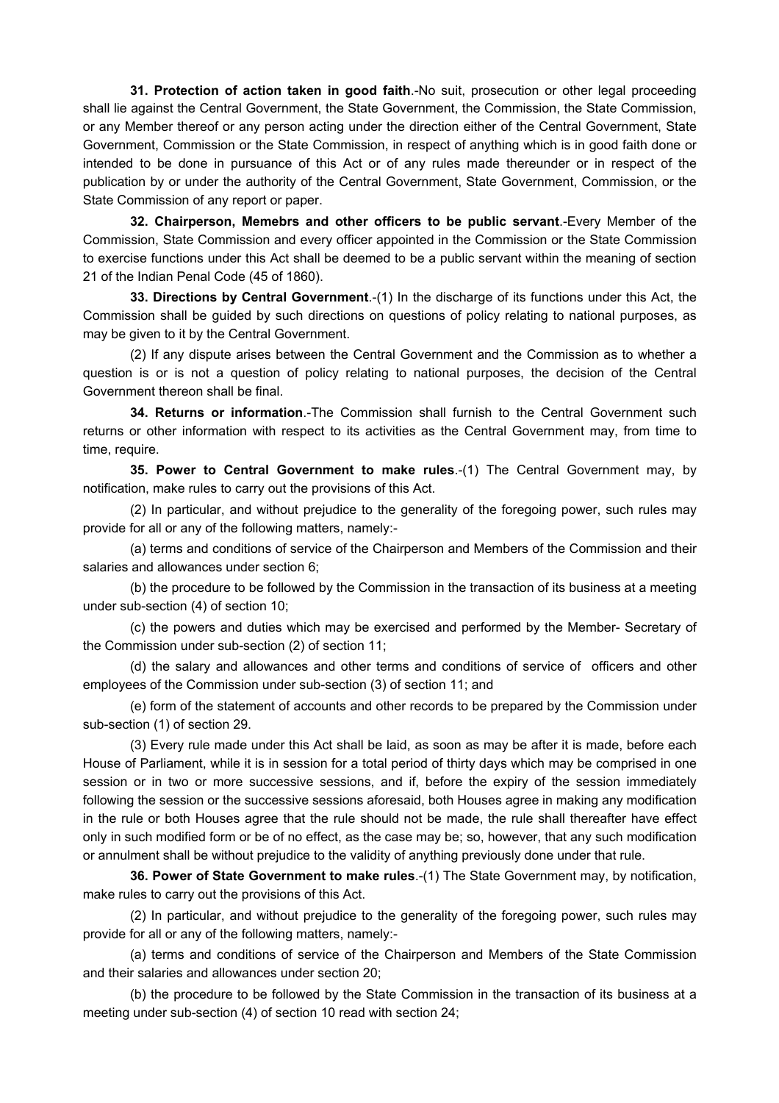**31. Protection of action taken in good faith**.-No suit, prosecution or other legal proceeding shall lie against the Central Government, the State Government, the Commission, the State Commission, or any Member thereof or any person acting under the direction either of the Central Government, State Government, Commission or the State Commission, in respect of anything which is in good faith done or intended to be done in pursuance of this Act or of any rules made thereunder or in respect of the publication by or under the authority of the Central Government, State Government, Commission, or the State Commission of any report or paper.

**32. Chairperson, Memebrs and other officers to be public servant**.-Every Member of the Commission, State Commission and every officer appointed in the Commission or the State Commission to exercise functions under this Act shall be deemed to be a public servant within the meaning of section 21 of the Indian Penal Code (45 of 1860).

**33. Directions by Central Government**.-(1) In the discharge of its functions under this Act, the Commission shall be guided by such directions on questions of policy relating to national purposes, as may be given to it by the Central Government.

(2) If any dispute arises between the Central Government and the Commission as to whether a question is or is not a question of policy relating to national purposes, the decision of the Central Government thereon shall be final.

**34. Returns or information**.-The Commission shall furnish to the Central Government such returns or other information with respect to its activities as the Central Government may, from time to time, require.

**35. Power to Central Government to make rules**.-(1) The Central Government may, by notification, make rules to carry out the provisions of this Act.

(2) In particular, and without prejudice to the generality of the foregoing power, such rules may provide for all or any of the following matters, namely:-

(a) terms and conditions of service of the Chairperson and Members of the Commission and their salaries and allowances under section 6;

(b) the procedure to be followed by the Commission in the transaction of its business at a meeting under sub-section (4) of section 10;

(c) the powers and duties which may be exercised and performed by the Member- Secretary of the Commission under sub-section (2) of section 11;

(d) the salary and allowances and other terms and conditions of service of officers and other employees of the Commission under sub-section (3) of section 11; and

(e) form of the statement of accounts and other records to be prepared by the Commission under sub-section (1) of section 29.

(3) Every rule made under this Act shall be laid, as soon as may be after it is made, before each House of Parliament, while it is in session for a total period of thirty days which may be comprised in one session or in two or more successive sessions, and if, before the expiry of the session immediately following the session or the successive sessions aforesaid, both Houses agree in making any modification in the rule or both Houses agree that the rule should not be made, the rule shall thereafter have effect only in such modified form or be of no effect, as the case may be; so, however, that any such modification or annulment shall be without prejudice to the validity of anything previously done under that rule.

**36. Power of State Government to make rules**.-(1) The State Government may, by notification, make rules to carry out the provisions of this Act.

(2) In particular, and without prejudice to the generality of the foregoing power, such rules may provide for all or any of the following matters, namely:-

(a) terms and conditions of service of the Chairperson and Members of the State Commission and their salaries and allowances under section 20;

(b) the procedure to be followed by the State Commission in the transaction of its business at a meeting under sub-section (4) of section 10 read with section 24;